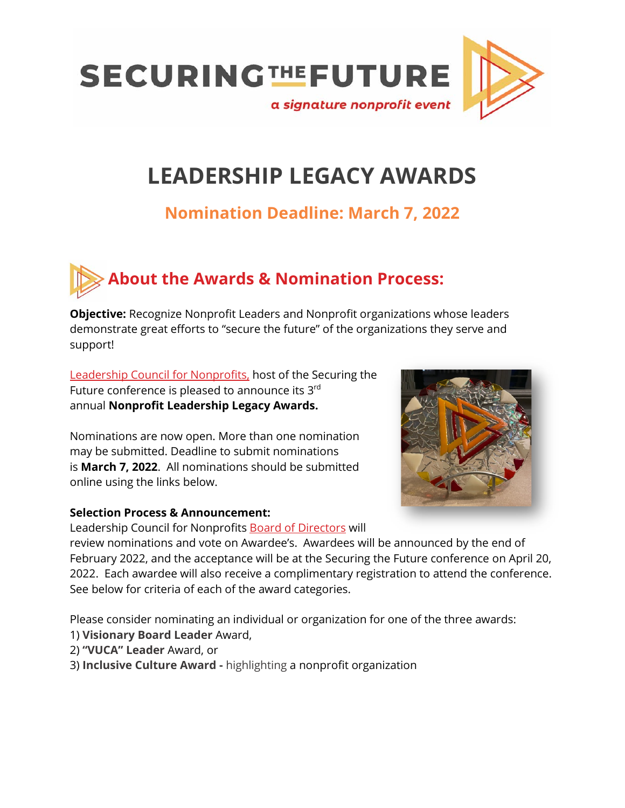

### **LEADERSHIP LEGACY AWARDS**

### **Nomination Deadline: March 7, 2022**

## **About the Awards & Nomination Process:**

**Objective:** Recognize Nonprofit Leaders and Nonprofit organizations whose leaders demonstrate great efforts to "secure the future" of the organizations they serve and support!

[Leadership Council for Nonprofits,](https://www.leadershipcouncil.us/about/about-leadership-council-3/) host of the Securing the Future conference is pleased to announce its 3rd annual **Nonprofit Leadership Legacy Awards.** 

Nominations are now open. More than one nomination may be submitted. Deadline to submit nominations is **March 7, 2022**. All nominations should be submitted online using the links below.

#### **Selection Process & Announcement:**

Leadership Council for Nonprofits [Board of Directors](https://www.leadershipcouncil.us/about/board-of-directors-8/) will

review nominations and vote on Awardee's. Awardees will be announced by the end of February 2022, and the acceptance will be at the Securing the Future conference on April 20, 2022. Each awardee will also receive a complimentary registration to attend the conference. See below for criteria of each of the award categories.

Please consider nominating an individual or organization for one of the three awards:

- 1) **Visionary Board Leader** Award,
- 2) **"VUCA" Leader** Award, or
- 3) **Inclusive Culture Award -** highlighting a nonprofit organization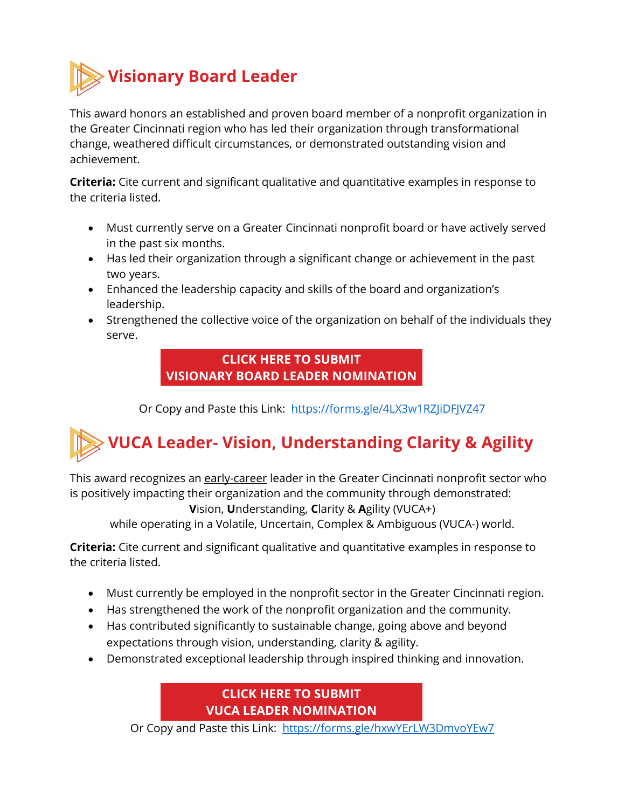

This award honors an established and proven board member of a nonprofit organization in the Greater Cincinnati region who has led their organization through transformational change, weathered difficult circumstances, or demonstrated outstanding vision and achievement.

**Criteria:** Cite current and significant qualitative and quantitative examples in response to the criteria listed.

- Must currently serve on a Greater Cincinnati nonprofit board or have actively served in the past six months.
- Has led their organization through a significant change or achievement in the past two years.
- Enhanced the leadership capacity and skills of the board and organization's leadership.
- Strengthened the collective voice of the organization on behalf of the individuals they serve.

#### **[CLICK HERE TO SUBMIT](https://forms.gle/4LX3w1RZJiDFJVZ47) [VISIONARY BOARD LEADER NOMINATION](https://forms.gle/4LX3w1RZJiDFJVZ47)**

Or Copy and Paste this Link: <https://forms.gle/4LX3w1RZJiDFJVZ47>

# **VUCA Leader- Vision, Understanding Clarity & Agility**

This award recognizes an early-career leader in the Greater Cincinnati nonprofit sector who is positively impacting their organization and the community through demonstrated:

**V**ision, **U**nderstanding, **C**larity & **A**gility (VUCA+)

while operating in a Volatile, Uncertain, Complex & Ambiguous (VUCA-) world.

**Criteria:** Cite current and significant qualitative and quantitative examples in response to the criteria listed.

- Must currently be employed in the nonprofit sector in the Greater Cincinnati region.
- Has strengthened the work of the nonprofit organization and the community.
- Has contributed significantly to sustainable change, going above and beyond expectations through vision, understanding, clarity & agility.
- Demonstrated exceptional leadership through inspired thinking and innovation.

**[CLICK HERE TO SUBMIT](https://forms.gle/hxwYErLW3DmvoYEw7) VUCA LEADER [NOMINATION](https://forms.gle/hxwYErLW3DmvoYEw7)**

Or Copy and Paste this Link: https://forms.gle/hxwYErLW3DmvoYEw7